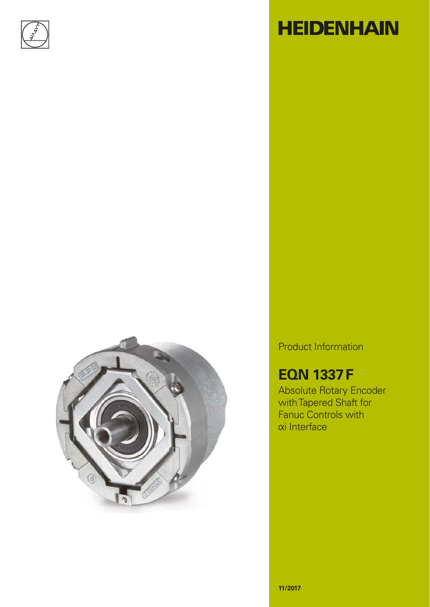



# **HEIDENHAIN**

Product Information

### **EQN 1337 F**

Absolute Rotary Encoder with Tapered Shaft for Fanuc Controls with **αi** Interface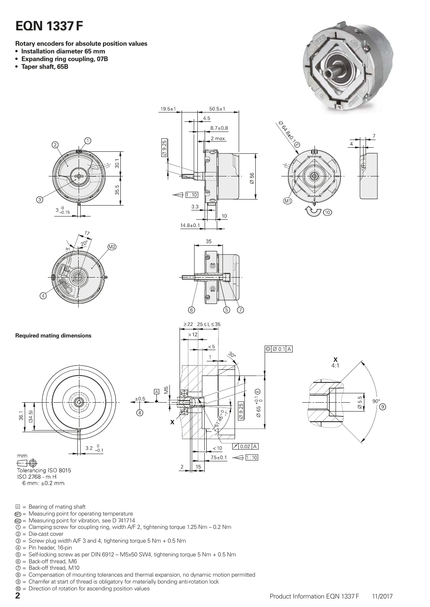## **EQN 1337 F**

**Rotary encoders for absolute position values**

- **Installation diameter 65 mm**
- **Expanding ring coupling, 07B**
- **Taper shaft, 65B**







 $45$  $8.7 \pm 0.8$  $2$  max. 56  $\bigotimes$  $\trianglelefteq$  [1:10]  $3.3$  $10$  $14.8 \pm 0.1$ 

M)

 $\boxed{\circ$   $\oslash$  0.1 A

 $\textcircled{\scriptsize{1}}$ 

 $\frac{1}{2}$ 

 $\varnothing$  65

 $70.02$  A

 $75 \pm 0.1$   $\leftarrow$  1:10

 $< 10$ 

**①** 

 $\mathbf{x}$ <br>4:1

 $rac{5.5}{9}$ 

 $90^\circ$  $\circledcirc$ 

 $50.5 \pm 1$ 

 $19.5 \pm 1$ 



 $\geq$  22 25  $\leq$  L  $\leq$  35  $>12$ 

SIN  $\boxed{\mathbb{A}}$ 

 $\mathbf{x}$ 

 $\overline{c}$ 

15

(8)



**Required mating dimensions**



Tolerancing ISO 8015 ISO 2768 - m H

- 6 mm:  $\pm 0.2$  mm
- $\Box$  = Bearing of mating shaft
- $M =$ Measuring point for operating temperature
- M2 = Measuring point for vibration, see D 741714
- $\hat{O}$  = Clamping screw for coupling ring, width A/F 2, tightening torque 1.25 Nm 0.2 Nm ② = Die-cast cover
- $\overline{\textcircled{3}}$  = Screw plug width A/F 3 and 4, tightening torque 5 Nm + 0.5 Nm
- ④ = Pin header, 16-pin
- ⑤ = Self-locking screw as per DIN 6912 M5x50 SW4, tightening torque 5 Nm + 0.5 Nm
- ⑥ = Back-off thread, M6
- ⑦ = Back-off thread, M10
- ⑧ = Compensation of mounting tolerances and thermal expansion, no dynamic motion permitted
- ⑨ = Chamfer at start of thread is obligatory for materially bonding anti-rotation lock
- ⑩ = Direction of rotation for ascending position values
-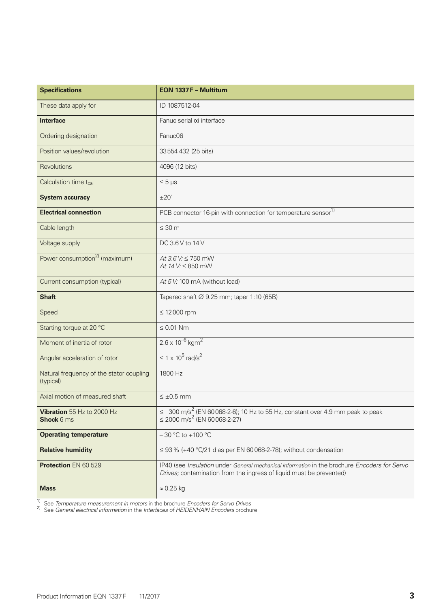| <b>Specifications</b>                                 | EQN 1337 F - Multitum                                                                                                                                               |  |  |  |
|-------------------------------------------------------|---------------------------------------------------------------------------------------------------------------------------------------------------------------------|--|--|--|
| These data apply for                                  | ID 1087512-04                                                                                                                                                       |  |  |  |
| <b>Interface</b>                                      | Fanuc serial xi interface                                                                                                                                           |  |  |  |
| Ordering designation                                  | Fanuc06                                                                                                                                                             |  |  |  |
| Position values/revolution                            | 33554 432 (25 bits)                                                                                                                                                 |  |  |  |
| Revolutions                                           | 4096 (12 bits)                                                                                                                                                      |  |  |  |
| Calculation time t <sub>cal</sub>                     | $\leq 5 \,\mu s$                                                                                                                                                    |  |  |  |
| <b>System accuracy</b>                                | ±20"                                                                                                                                                                |  |  |  |
| <b>Electrical connection</b>                          | PCB connector 16-pin with connection for temperature sensor <sup>1)</sup>                                                                                           |  |  |  |
| Cable length                                          | $\leq 30$ m                                                                                                                                                         |  |  |  |
| Voltage supply                                        | DC 3.6 V to 14 V                                                                                                                                                    |  |  |  |
| Power consumption <sup>2)</sup> (maximum)             | $At 3.6 V: \le 750$ mW<br>At $14 V \le 850$ mW                                                                                                                      |  |  |  |
| Current consumption (typical)                         | At 5 V: 100 mA (without load)                                                                                                                                       |  |  |  |
| <b>Shaft</b>                                          | Tapered shaft $\varnothing$ 9.25 mm; taper 1:10 (65B)                                                                                                               |  |  |  |
| Speed                                                 | $\leq$ 12000 rpm                                                                                                                                                    |  |  |  |
| Starting torque at 20 °C                              | $\leq 0.01$ Nm                                                                                                                                                      |  |  |  |
| Moment of inertia of rotor                            | $2.6 \times 10^{-6}$ kgm <sup>2</sup>                                                                                                                               |  |  |  |
| Angular acceleration of rotor                         | $\leq 1 \times 10^5$ rad/s <sup>2</sup>                                                                                                                             |  |  |  |
| Natural frequency of the stator coupling<br>(typical) | 1800 Hz                                                                                                                                                             |  |  |  |
| Axial motion of measured shaft                        | $\leq \pm 0.5$ mm                                                                                                                                                   |  |  |  |
| Vibration 55 Hz to 2000 Hz<br><b>Shock 6 ms</b>       | $\leq 300$ m/s <sup>2</sup> (EN 60068-2-6); 10 Hz to 55 Hz, constant over 4.9 mm peak to peak<br>$\leq$ 2000 m/s <sup>2</sup> (EN 60068-2-27)                       |  |  |  |
| <b>Operating temperature</b>                          | $-30$ °C to $+100$ °C                                                                                                                                               |  |  |  |
| <b>Relative humidity</b>                              | $\leq$ 93 % (+40 °C/21 d as per EN 60 068-2-78); without condensation                                                                                               |  |  |  |
| Protection EN 60 529                                  | IP40 (see Insulation under General mechanical information in the brochure Encoders for Servo<br>Drives; contamination from the ingress of liquid must be prevented) |  |  |  |
| <b>Mass</b>                                           | $\approx 0.25$ kg                                                                                                                                                   |  |  |  |

1) See *Temperature measurement in motors* in the brochure *Encoders for Servo Drives*

2) See *General electrical information* in the *Interfaces of HEIDENHAIN Encoders* brochure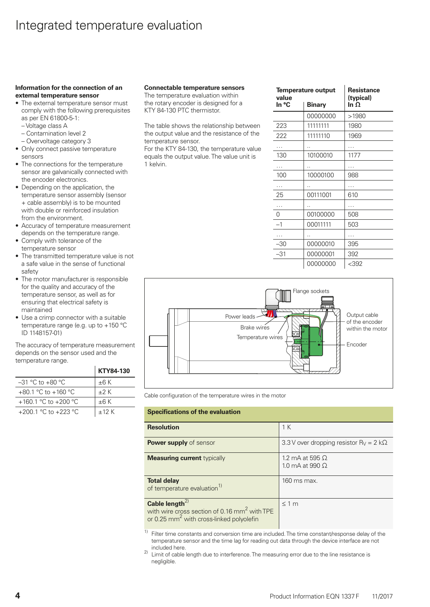#### **Information for the connection of an external temperature sensor**

- The external temperature sensor must comply with the following prerequisites as per EN 61800-5-1:
	- Voltage class A
	- Contamination level 2
- Overvoltage category 3 • Only connect passive temperature sensors
- The connections for the temperature sensor are galvanically connected with the encoder electronics.
- Depending on the application, the temperature sensor assembly (sensor + cable assembly) is to be mounted with double or reinforced insulation from the environment.
- Accuracy of temperature measurement depends on the temperature range.
- Comply with tolerance of the temperature sensor
- The transmitted temperature value is not a safe value in the sense of functional safety
- The motor manufacturer is responsible for the quality and accuracy of the temperature sensor, as well as for ensuring that electrical safety is maintained
- Use a crimp connector with a suitable temperature range (e.g. up to +150 °C ID 1148157-01)

The accuracy of temperature measurement depends on the sensor used and the temperature range.

|                         | KTY84-130 |
|-------------------------|-----------|
| $-31$ °C to $+80$ °C.   | $±6$ K    |
| $+80.1$ °C to $+160$ °C | $+2K$     |
| +160.1 °C to +200 °C    | $+6K$     |
| +200.1 °C to +223 °C    | $+12K$    |

#### **Connectable temperature sensors**

The temperature evaluation within the rotary encoder is designed for a KTY 84-130 PTC thermistor.

The table shows the relationship between the output value and the resistance of the temperature sensor.

For the KTY 84-130, the temperature value equals the output value. The value unit is 1 kelvin.

| value | <b>Temperature output</b> | <b>Resistance</b><br>(typical)<br>In $\Omega$ |  |  |
|-------|---------------------------|-----------------------------------------------|--|--|
| In °C | <b>Binary</b>             |                                               |  |  |
|       | 00000000                  | >1980                                         |  |  |
| 223   | 11111111                  | 1980                                          |  |  |
| 222   | 11111110                  | 1969                                          |  |  |
|       |                           |                                               |  |  |
| 130   | 10100010                  | 1177                                          |  |  |
|       |                           |                                               |  |  |
| 100   | 10000100                  | 988                                           |  |  |
|       |                           |                                               |  |  |
| 25    | 00111001                  | 610                                           |  |  |
|       |                           |                                               |  |  |
| 0     | 00100000                  | 508                                           |  |  |
| $-1$  | 00011111                  | 503                                           |  |  |
|       |                           |                                               |  |  |
| -30   | 00000010                  | 395                                           |  |  |
| -31   | 00000001                  | 392                                           |  |  |
|       | 00000000                  | $<$ 392                                       |  |  |



Cable configuration of the temperature wires in the motor

| <b>Specifications of the evaluation</b>                                                                                                        |                                                           |  |  |  |  |
|------------------------------------------------------------------------------------------------------------------------------------------------|-----------------------------------------------------------|--|--|--|--|
| <b>Resolution</b>                                                                                                                              | 1 K                                                       |  |  |  |  |
| <b>Power supply</b> of sensor                                                                                                                  | 3.3 V over dropping resistor R <sub>V</sub> = $2 k\Omega$ |  |  |  |  |
| <b>Measuring current typically</b>                                                                                                             | 1.2 mA at 595 $\Omega$<br>1.0 mA at 990 $\Omega$          |  |  |  |  |
| <b>Total delay</b><br>of temperature evaluation <sup>1)</sup>                                                                                  | 160 ms max.                                               |  |  |  |  |
| Cable length <sup>2)</sup><br>with wire cross section of 0.16 mm <sup>2</sup> with TPE<br>or 0.25 mm <sup>2</sup> with cross-linked polyolefin | < 1 m                                                     |  |  |  |  |

 $\overline{1}$ ) Filter time constants and conversion time are included. The time constant/response delay of the temperature sensor and the time lag for reading out data through the device interface are not included here.

<sup>2)</sup> Limit of cable length due to interference. The measuring error due to the line resistance is negligible.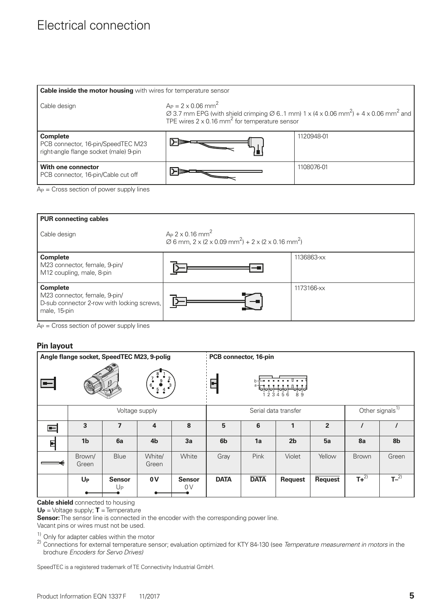### Electrical connection

| Cable inside the motor housing with wires for temperature sensor                                |                                                                                                                                                                                                                                                 |            |  |  |  |  |
|-------------------------------------------------------------------------------------------------|-------------------------------------------------------------------------------------------------------------------------------------------------------------------------------------------------------------------------------------------------|------------|--|--|--|--|
| Cable design                                                                                    | $A_P = 2 \times 0.06$ mm <sup>2</sup><br>$\varnothing$ 3.7 mm EPG (with shield crimping $\varnothing$ 61 mm) 1 x (4 x 0.06 mm <sup>2</sup> ) + 4 x 0.06 mm <sup>2</sup> and<br>TPE wires $2 \times 0.16$ mm <sup>2</sup> for temperature sensor |            |  |  |  |  |
| <b>Complete</b><br>PCB connector, 16-pin/SpeedTEC M23<br>right-angle flange socket (male) 9-pin |                                                                                                                                                                                                                                                 | 1120948-01 |  |  |  |  |
| With one connector<br>PCB connector, 16-pin/Cable cut off                                       |                                                                                                                                                                                                                                                 | 1108076-01 |  |  |  |  |

 $Ap = Cross section of power supply lines$ 

| <b>PUR connecting cables</b>                                                                                   |                                                                                                                        |            |  |  |  |
|----------------------------------------------------------------------------------------------------------------|------------------------------------------------------------------------------------------------------------------------|------------|--|--|--|
| Cable design                                                                                                   | $Ap$ 2 x 0.16 mm <sup>2</sup><br>$\varnothing$ 6 mm, 2 x (2 x 0.09 mm <sup>2</sup> ) + 2 x (2 x 0.16 mm <sup>2</sup> ) |            |  |  |  |
| <b>Complete</b><br>M23 connector, female, 9-pin/<br>M12 coupling, male, 8-pin                                  |                                                                                                                        | 1136863-xx |  |  |  |
| <b>Complete</b><br>M23 connector, female, 9-pin/<br>D-sub connector 2-row with locking screws,<br>male, 15-pin |                                                                                                                        | 1173166-xx |  |  |  |

 $Ap = Cross section of power supply lines$ 

#### **Pin layout**

| Angle flange socket, SpeedTEC M23, 9-polig                                                 |                 |                                 | PCB connector, 16-pin                     |                      |                |             |                             |                |           |                |
|--------------------------------------------------------------------------------------------|-----------------|---------------------------------|-------------------------------------------|----------------------|----------------|-------------|-----------------------------|----------------|-----------|----------------|
| $\begin{matrix}\n9 & 2 \\ 0 & 3 \\ 5 & 4\n\end{matrix}$<br>$\blacksquare$<br>$6_{\bullet}$ |                 |                                 | $\overline{\cdots}$<br>Ч<br>89<br>-5<br>6 |                      |                |             |                             |                |           |                |
|                                                                                            | Voltage supply  |                                 |                                           | Serial data transfer |                |             | Other signals <sup>1)</sup> |                |           |                |
| $\blacksquare$                                                                             | 3               | $\overline{\mathbf{z}}$         | 4                                         | 8                    | 5              | 6           | 1                           | $\overline{2}$ | $\prime$  |                |
| 티                                                                                          | 1 <sub>b</sub>  | 6a                              | 4 <sub>b</sub>                            | 3a                   | 6 <sub>b</sub> | 1a          | 2 <sub>b</sub>              | 5a             | 8a        | 8 <sub>b</sub> |
|                                                                                            | Brown/<br>Green | Blue                            | White/<br>Green                           | White                | Gray           | Pink        | Violet                      | Yellow         | Brown     | Green          |
|                                                                                            | $U_{P}$         | <b>Sensor</b><br>U <sub>P</sub> | 0V                                        | <b>Sensor</b><br>0V  | <b>DATA</b>    | <b>DATA</b> | <b>Request</b>              | Request        | $T+^{2)}$ | $T^{-2)}$      |

**Cable shield** connected to housing

**UP** = Voltage supply; **T** = Temperature

**Sensor:** The sensor line is connected in the encoder with the corresponding power line.

Vacant pins or wires must not be used.

 $\frac{1}{2}$  Only for adapter cables within the motor

2) Connections for external temperature sensor; evaluation optimized for KTY 84-130 (see *Temperature measurement in motors* in the brochure *Encoders for Servo Drives)*

SpeedTEC is a registered trademark of TE Connectivity Industrial GmbH.